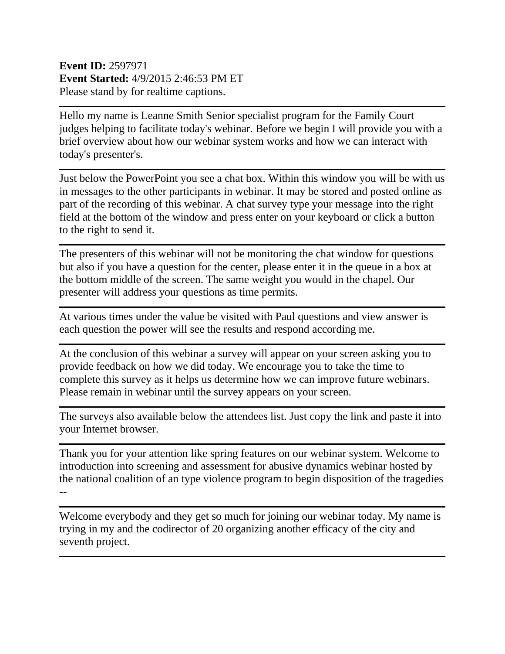## **Event ID:** 2597971 **Event Started:** 4/9/2015 2:46:53 PM ET Please stand by for realtime captions.

Hello my name is Leanne Smith Senior specialist program for the Family Court judges helping to facilitate today's webinar. Before we begin I will provide you with a brief overview about how our webinar system works and how we can interact with today's presenter's.

Just below the PowerPoint you see a chat box. Within this window you will be with us in messages to the other participants in webinar. It may be stored and posted online as part of the recording of this webinar. A chat survey type your message into the right field at the bottom of the window and press enter on your keyboard or click a button to the right to send it.

The presenters of this webinar will not be monitoring the chat window for questions but also if you have a question for the center, please enter it in the queue in a box at the bottom middle of the screen. The same weight you would in the chapel. Our presenter will address your questions as time permits.

At various times under the value be visited with Paul questions and view answer is each question the power will see the results and respond according me.

At the conclusion of this webinar a survey will appear on your screen asking you to provide feedback on how we did today. We encourage you to take the time to complete this survey as it helps us determine how we can improve future webinars. Please remain in webinar until the survey appears on your screen.

The surveys also available below the attendees list. Just copy the link and paste it into your Internet browser.

Thank you for your attention like spring features on our webinar system. Welcome to introduction into screening and assessment for abusive dynamics webinar hosted by the national coalition of an type violence program to begin disposition of the tragedies --

Welcome everybody and they get so much for joining our webinar today. My name is trying in my and the codirector of 20 organizing another efficacy of the city and seventh project.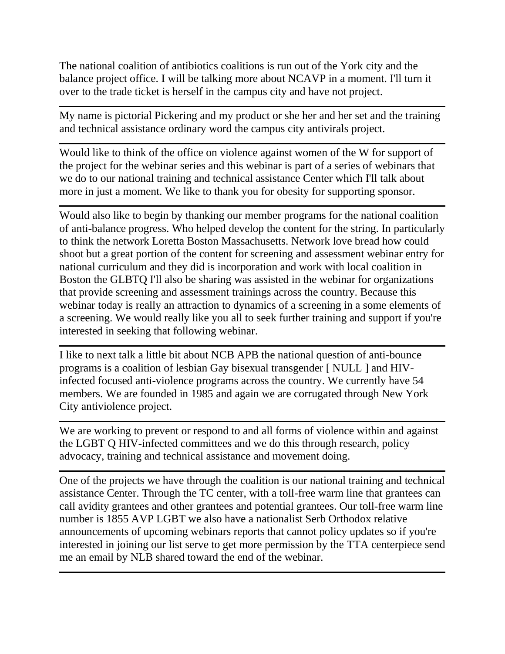The national coalition of antibiotics coalitions is run out of the York city and the balance project office. I will be talking more about NCAVP in a moment. I'll turn it over to the trade ticket is herself in the campus city and have not project.

My name is pictorial Pickering and my product or she her and her set and the training and technical assistance ordinary word the campus city antivirals project.

Would like to think of the office on violence against women of the W for support of the project for the webinar series and this webinar is part of a series of webinars that we do to our national training and technical assistance Center which I'll talk about more in just a moment. We like to thank you for obesity for supporting sponsor.

Would also like to begin by thanking our member programs for the national coalition of anti-balance progress. Who helped develop the content for the string. In particularly to think the network Loretta Boston Massachusetts. Network love bread how could shoot but a great portion of the content for screening and assessment webinar entry for national curriculum and they did is incorporation and work with local coalition in Boston the GLBTQ I'll also be sharing was assisted in the webinar for organizations that provide screening and assessment trainings across the country. Because this webinar today is really an attraction to dynamics of a screening in a some elements of a screening. We would really like you all to seek further training and support if you're interested in seeking that following webinar.

I like to next talk a little bit about NCB APB the national question of anti-bounce programs is a coalition of lesbian Gay bisexual transgender [ NULL ] and HIVinfected focused anti-violence programs across the country. We currently have 54 members. We are founded in 1985 and again we are corrugated through New York City antiviolence project.

We are working to prevent or respond to and all forms of violence within and against the LGBT Q HIV-infected committees and we do this through research, policy advocacy, training and technical assistance and movement doing.

One of the projects we have through the coalition is our national training and technical assistance Center. Through the TC center, with a toll-free warm line that grantees can call avidity grantees and other grantees and potential grantees. Our toll-free warm line number is 1855 AVP LGBT we also have a nationalist Serb Orthodox relative announcements of upcoming webinars reports that cannot policy updates so if you're interested in joining our list serve to get more permission by the TTA centerpiece send me an email by NLB shared toward the end of the webinar.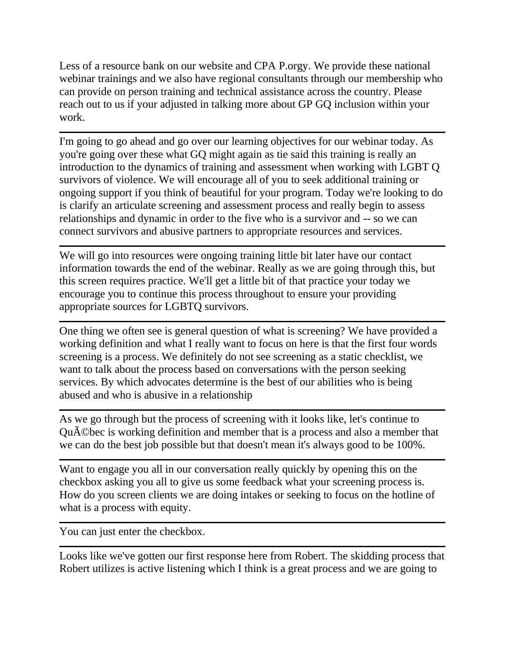Less of a resource bank on our website and CPA P.orgy. We provide these national webinar trainings and we also have regional consultants through our membership who can provide on person training and technical assistance across the country. Please reach out to us if your adjusted in talking more about GP GQ inclusion within your work.

I'm going to go ahead and go over our learning objectives for our webinar today. As you're going over these what GQ might again as tie said this training is really an introduction to the dynamics of training and assessment when working with LGBT Q survivors of violence. We will encourage all of you to seek additional training or ongoing support if you think of beautiful for your program. Today we're looking to do is clarify an articulate screening and assessment process and really begin to assess relationships and dynamic in order to the five who is a survivor and -- so we can connect survivors and abusive partners to appropriate resources and services.

We will go into resources were ongoing training little bit later have our contact information towards the end of the webinar. Really as we are going through this, but this screen requires practice. We'll get a little bit of that practice your today we encourage you to continue this process throughout to ensure your providing appropriate sources for LGBTQ survivors.

One thing we often see is general question of what is screening? We have provided a working definition and what I really want to focus on here is that the first four words screening is a process. We definitely do not see screening as a static checklist, we want to talk about the process based on conversations with the person seeking services. By which advocates determine is the best of our abilities who is being abused and who is abusive in a relationship

As we go through but the process of screening with it looks like, let's continue to Québec is working definition and member that is a process and also a member that we can do the best job possible but that doesn't mean it's always good to be 100%.

Want to engage you all in our conversation really quickly by opening this on the checkbox asking you all to give us some feedback what your screening process is. How do you screen clients we are doing intakes or seeking to focus on the hotline of what is a process with equity.

You can just enter the checkbox.

Looks like we've gotten our first response here from Robert. The skidding process that Robert utilizes is active listening which I think is a great process and we are going to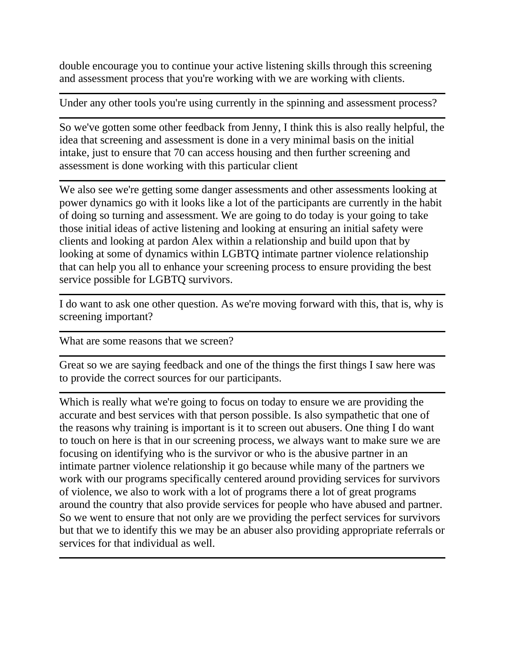double encourage you to continue your active listening skills through this screening and assessment process that you're working with we are working with clients.

Under any other tools you're using currently in the spinning and assessment process?

So we've gotten some other feedback from Jenny, I think this is also really helpful, the idea that screening and assessment is done in a very minimal basis on the initial intake, just to ensure that 70 can access housing and then further screening and assessment is done working with this particular client

We also see we're getting some danger assessments and other assessments looking at power dynamics go with it looks like a lot of the participants are currently in the habit of doing so turning and assessment. We are going to do today is your going to take those initial ideas of active listening and looking at ensuring an initial safety were clients and looking at pardon Alex within a relationship and build upon that by looking at some of dynamics within LGBTQ intimate partner violence relationship that can help you all to enhance your screening process to ensure providing the best service possible for LGBTQ survivors.

I do want to ask one other question. As we're moving forward with this, that is, why is screening important?

What are some reasons that we screen?

Great so we are saying feedback and one of the things the first things I saw here was to provide the correct sources for our participants.

Which is really what we're going to focus on today to ensure we are providing the accurate and best services with that person possible. Is also sympathetic that one of the reasons why training is important is it to screen out abusers. One thing I do want to touch on here is that in our screening process, we always want to make sure we are focusing on identifying who is the survivor or who is the abusive partner in an intimate partner violence relationship it go because while many of the partners we work with our programs specifically centered around providing services for survivors of violence, we also to work with a lot of programs there a lot of great programs around the country that also provide services for people who have abused and partner. So we went to ensure that not only are we providing the perfect services for survivors but that we to identify this we may be an abuser also providing appropriate referrals or services for that individual as well.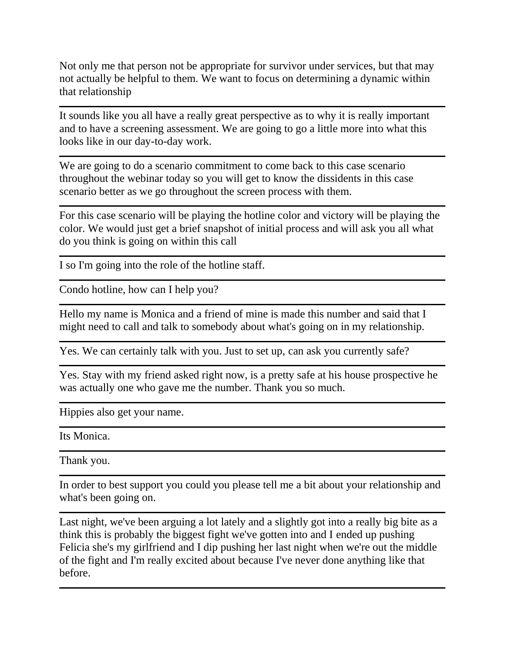Not only me that person not be appropriate for survivor under services, but that may not actually be helpful to them. We want to focus on determining a dynamic within that relationship

It sounds like you all have a really great perspective as to why it is really important and to have a screening assessment. We are going to go a little more into what this looks like in our day-to-day work.

We are going to do a scenario commitment to come back to this case scenario throughout the webinar today so you will get to know the dissidents in this case scenario better as we go throughout the screen process with them.

For this case scenario will be playing the hotline color and victory will be playing the color. We would just get a brief snapshot of initial process and will ask you all what do you think is going on within this call

I so I'm going into the role of the hotline staff.

Condo hotline, how can I help you?

Hello my name is Monica and a friend of mine is made this number and said that I might need to call and talk to somebody about what's going on in my relationship.

Yes. We can certainly talk with you. Just to set up, can ask you currently safe?

Yes. Stay with my friend asked right now, is a pretty safe at his house prospective he was actually one who gave me the number. Thank you so much.

Hippies also get your name.

Its Monica.

Thank you.

In order to best support you could you please tell me a bit about your relationship and what's been going on.

Last night, we've been arguing a lot lately and a slightly got into a really big bite as a think this is probably the biggest fight we've gotten into and I ended up pushing Felicia she's my girlfriend and I dip pushing her last night when we're out the middle of the fight and I'm really excited about because I've never done anything like that before.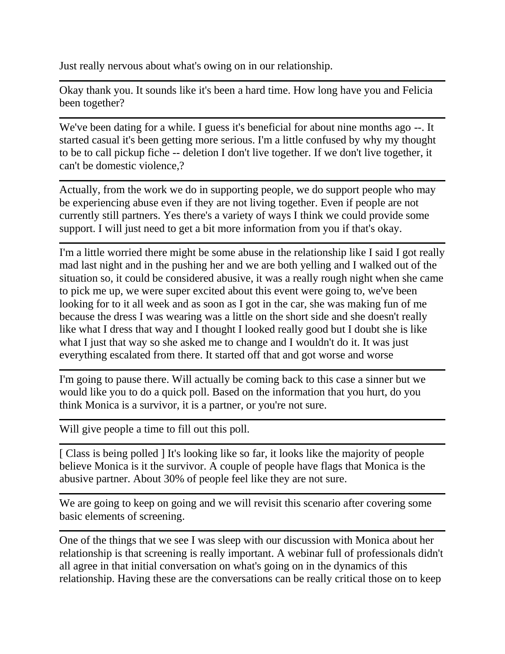Just really nervous about what's owing on in our relationship.

Okay thank you. It sounds like it's been a hard time. How long have you and Felicia been together?

We've been dating for a while. I guess it's beneficial for about nine months ago --. It started casual it's been getting more serious. I'm a little confused by why my thought to be to call pickup fiche -- deletion I don't live together. If we don't live together, it can't be domestic violence,?

Actually, from the work we do in supporting people, we do support people who may be experiencing abuse even if they are not living together. Even if people are not currently still partners. Yes there's a variety of ways I think we could provide some support. I will just need to get a bit more information from you if that's okay.

I'm a little worried there might be some abuse in the relationship like I said I got really mad last night and in the pushing her and we are both yelling and I walked out of the situation so, it could be considered abusive, it was a really rough night when she came to pick me up, we were super excited about this event were going to, we've been looking for to it all week and as soon as I got in the car, she was making fun of me because the dress I was wearing was a little on the short side and she doesn't really like what I dress that way and I thought I looked really good but I doubt she is like what I just that way so she asked me to change and I wouldn't do it. It was just everything escalated from there. It started off that and got worse and worse

I'm going to pause there. Will actually be coming back to this case a sinner but we would like you to do a quick poll. Based on the information that you hurt, do you think Monica is a survivor, it is a partner, or you're not sure.

Will give people a time to fill out this poll.

[ Class is being polled ] It's looking like so far, it looks like the majority of people believe Monica is it the survivor. A couple of people have flags that Monica is the abusive partner. About 30% of people feel like they are not sure.

We are going to keep on going and we will revisit this scenario after covering some basic elements of screening.

One of the things that we see I was sleep with our discussion with Monica about her relationship is that screening is really important. A webinar full of professionals didn't all agree in that initial conversation on what's going on in the dynamics of this relationship. Having these are the conversations can be really critical those on to keep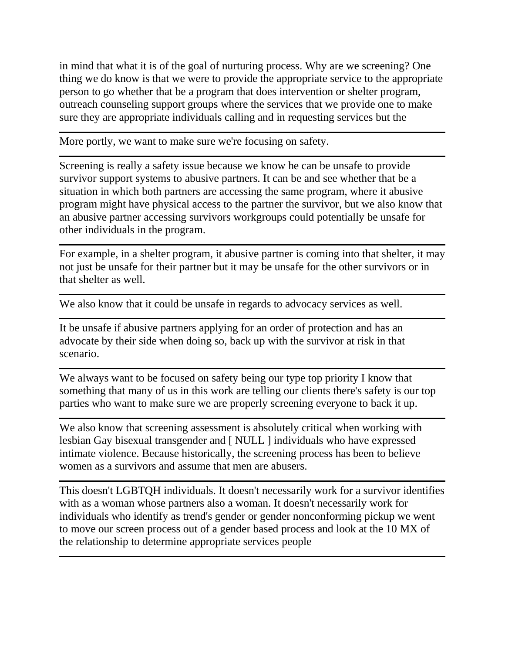in mind that what it is of the goal of nurturing process. Why are we screening? One thing we do know is that we were to provide the appropriate service to the appropriate person to go whether that be a program that does intervention or shelter program, outreach counseling support groups where the services that we provide one to make sure they are appropriate individuals calling and in requesting services but the

More portly, we want to make sure we're focusing on safety.

Screening is really a safety issue because we know he can be unsafe to provide survivor support systems to abusive partners. It can be and see whether that be a situation in which both partners are accessing the same program, where it abusive program might have physical access to the partner the survivor, but we also know that an abusive partner accessing survivors workgroups could potentially be unsafe for other individuals in the program.

For example, in a shelter program, it abusive partner is coming into that shelter, it may not just be unsafe for their partner but it may be unsafe for the other survivors or in that shelter as well.

We also know that it could be unsafe in regards to advocacy services as well.

It be unsafe if abusive partners applying for an order of protection and has an advocate by their side when doing so, back up with the survivor at risk in that scenario.

We always want to be focused on safety being our type top priority I know that something that many of us in this work are telling our clients there's safety is our top parties who want to make sure we are properly screening everyone to back it up.

We also know that screening assessment is absolutely critical when working with lesbian Gay bisexual transgender and [ NULL ] individuals who have expressed intimate violence. Because historically, the screening process has been to believe women as a survivors and assume that men are abusers.

This doesn't LGBTQH individuals. It doesn't necessarily work for a survivor identifies with as a woman whose partners also a woman. It doesn't necessarily work for individuals who identify as trend's gender or gender nonconforming pickup we went to move our screen process out of a gender based process and look at the 10 MX of the relationship to determine appropriate services people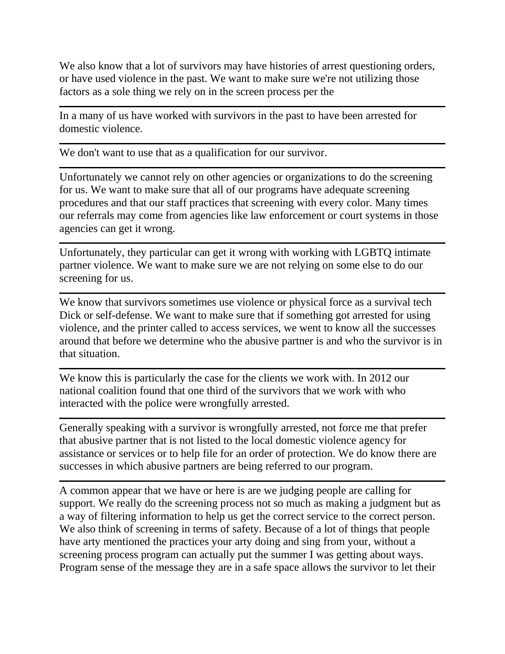We also know that a lot of survivors may have histories of arrest questioning orders, or have used violence in the past. We want to make sure we're not utilizing those factors as a sole thing we rely on in the screen process per the

In a many of us have worked with survivors in the past to have been arrested for domestic violence.

We don't want to use that as a qualification for our survivor.

Unfortunately we cannot rely on other agencies or organizations to do the screening for us. We want to make sure that all of our programs have adequate screening procedures and that our staff practices that screening with every color. Many times our referrals may come from agencies like law enforcement or court systems in those agencies can get it wrong.

Unfortunately, they particular can get it wrong with working with LGBTQ intimate partner violence. We want to make sure we are not relying on some else to do our screening for us.

We know that survivors sometimes use violence or physical force as a survival tech Dick or self-defense. We want to make sure that if something got arrested for using violence, and the printer called to access services, we went to know all the successes around that before we determine who the abusive partner is and who the survivor is in that situation.

We know this is particularly the case for the clients we work with. In 2012 our national coalition found that one third of the survivors that we work with who interacted with the police were wrongfully arrested.

Generally speaking with a survivor is wrongfully arrested, not force me that prefer that abusive partner that is not listed to the local domestic violence agency for assistance or services or to help file for an order of protection. We do know there are successes in which abusive partners are being referred to our program.

A common appear that we have or here is are we judging people are calling for support. We really do the screening process not so much as making a judgment but as a way of filtering information to help us get the correct service to the correct person. We also think of screening in terms of safety. Because of a lot of things that people have arty mentioned the practices your arty doing and sing from your, without a screening process program can actually put the summer I was getting about ways. Program sense of the message they are in a safe space allows the survivor to let their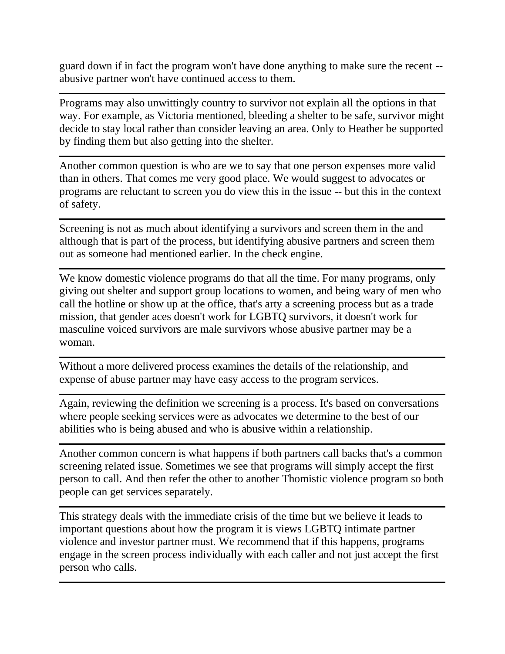guard down if in fact the program won't have done anything to make sure the recent - abusive partner won't have continued access to them.

Programs may also unwittingly country to survivor not explain all the options in that way. For example, as Victoria mentioned, bleeding a shelter to be safe, survivor might decide to stay local rather than consider leaving an area. Only to Heather be supported by finding them but also getting into the shelter.

Another common question is who are we to say that one person expenses more valid than in others. That comes me very good place. We would suggest to advocates or programs are reluctant to screen you do view this in the issue -- but this in the context of safety.

Screening is not as much about identifying a survivors and screen them in the and although that is part of the process, but identifying abusive partners and screen them out as someone had mentioned earlier. In the check engine.

We know domestic violence programs do that all the time. For many programs, only giving out shelter and support group locations to women, and being wary of men who call the hotline or show up at the office, that's arty a screening process but as a trade mission, that gender aces doesn't work for LGBTQ survivors, it doesn't work for masculine voiced survivors are male survivors whose abusive partner may be a woman.

Without a more delivered process examines the details of the relationship, and expense of abuse partner may have easy access to the program services.

Again, reviewing the definition we screening is a process. It's based on conversations where people seeking services were as advocates we determine to the best of our abilities who is being abused and who is abusive within a relationship.

Another common concern is what happens if both partners call backs that's a common screening related issue. Sometimes we see that programs will simply accept the first person to call. And then refer the other to another Thomistic violence program so both people can get services separately.

This strategy deals with the immediate crisis of the time but we believe it leads to important questions about how the program it is views LGBTQ intimate partner violence and investor partner must. We recommend that if this happens, programs engage in the screen process individually with each caller and not just accept the first person who calls.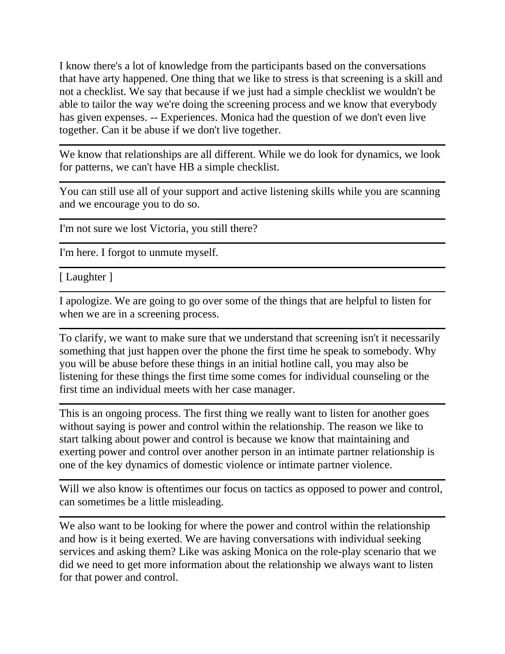I know there's a lot of knowledge from the participants based on the conversations that have arty happened. One thing that we like to stress is that screening is a skill and not a checklist. We say that because if we just had a simple checklist we wouldn't be able to tailor the way we're doing the screening process and we know that everybody has given expenses. -- Experiences. Monica had the question of we don't even live together. Can it be abuse if we don't live together.

We know that relationships are all different. While we do look for dynamics, we look for patterns, we can't have HB a simple checklist.

You can still use all of your support and active listening skills while you are scanning and we encourage you to do so.

I'm not sure we lost Victoria, you still there?

I'm here. I forgot to unmute myself.

[ Laughter ]

I apologize. We are going to go over some of the things that are helpful to listen for when we are in a screening process.

To clarify, we want to make sure that we understand that screening isn't it necessarily something that just happen over the phone the first time he speak to somebody. Why you will be abuse before these things in an initial hotline call, you may also be listening for these things the first time some comes for individual counseling or the first time an individual meets with her case manager.

This is an ongoing process. The first thing we really want to listen for another goes without saying is power and control within the relationship. The reason we like to start talking about power and control is because we know that maintaining and exerting power and control over another person in an intimate partner relationship is one of the key dynamics of domestic violence or intimate partner violence.

Will we also know is oftentimes our focus on tactics as opposed to power and control, can sometimes be a little misleading.

We also want to be looking for where the power and control within the relationship and how is it being exerted. We are having conversations with individual seeking services and asking them? Like was asking Monica on the role-play scenario that we did we need to get more information about the relationship we always want to listen for that power and control.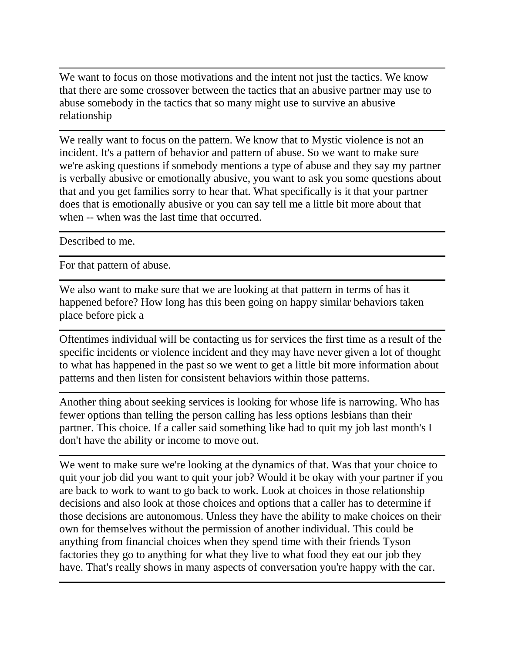We want to focus on those motivations and the intent not just the tactics. We know that there are some crossover between the tactics that an abusive partner may use to abuse somebody in the tactics that so many might use to survive an abusive relationship

We really want to focus on the pattern. We know that to Mystic violence is not an incident. It's a pattern of behavior and pattern of abuse. So we want to make sure we're asking questions if somebody mentions a type of abuse and they say my partner is verbally abusive or emotionally abusive, you want to ask you some questions about that and you get families sorry to hear that. What specifically is it that your partner does that is emotionally abusive or you can say tell me a little bit more about that when -- when was the last time that occurred.

Described to me.

For that pattern of abuse.

We also want to make sure that we are looking at that pattern in terms of has it happened before? How long has this been going on happy similar behaviors taken place before pick a

Oftentimes individual will be contacting us for services the first time as a result of the specific incidents or violence incident and they may have never given a lot of thought to what has happened in the past so we went to get a little bit more information about patterns and then listen for consistent behaviors within those patterns.

Another thing about seeking services is looking for whose life is narrowing. Who has fewer options than telling the person calling has less options lesbians than their partner. This choice. If a caller said something like had to quit my job last month's I don't have the ability or income to move out.

We went to make sure we're looking at the dynamics of that. Was that your choice to quit your job did you want to quit your job? Would it be okay with your partner if you are back to work to want to go back to work. Look at choices in those relationship decisions and also look at those choices and options that a caller has to determine if those decisions are autonomous. Unless they have the ability to make choices on their own for themselves without the permission of another individual. This could be anything from financial choices when they spend time with their friends Tyson factories they go to anything for what they live to what food they eat our job they have. That's really shows in many aspects of conversation you're happy with the car.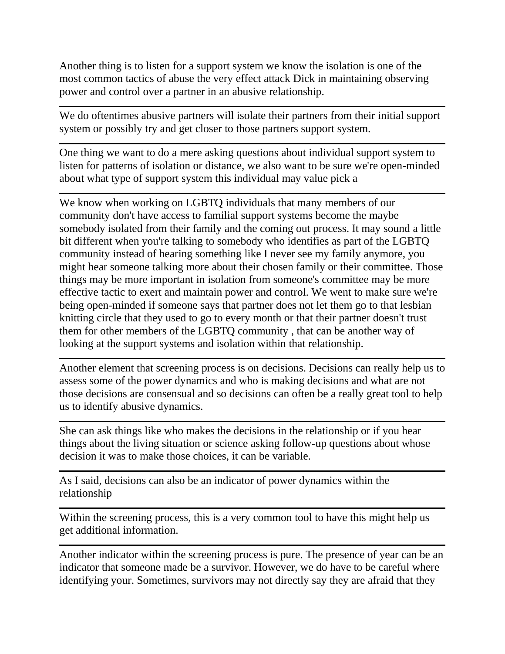Another thing is to listen for a support system we know the isolation is one of the most common tactics of abuse the very effect attack Dick in maintaining observing power and control over a partner in an abusive relationship.

We do oftentimes abusive partners will isolate their partners from their initial support system or possibly try and get closer to those partners support system.

One thing we want to do a mere asking questions about individual support system to listen for patterns of isolation or distance, we also want to be sure we're open-minded about what type of support system this individual may value pick a

We know when working on LGBTQ individuals that many members of our community don't have access to familial support systems become the maybe somebody isolated from their family and the coming out process. It may sound a little bit different when you're talking to somebody who identifies as part of the LGBTQ community instead of hearing something like I never see my family anymore, you might hear someone talking more about their chosen family or their committee. Those things may be more important in isolation from someone's committee may be more effective tactic to exert and maintain power and control. We went to make sure we're being open-minded if someone says that partner does not let them go to that lesbian knitting circle that they used to go to every month or that their partner doesn't trust them for other members of the LGBTQ community , that can be another way of looking at the support systems and isolation within that relationship.

Another element that screening process is on decisions. Decisions can really help us to assess some of the power dynamics and who is making decisions and what are not those decisions are consensual and so decisions can often be a really great tool to help us to identify abusive dynamics.

She can ask things like who makes the decisions in the relationship or if you hear things about the living situation or science asking follow-up questions about whose decision it was to make those choices, it can be variable.

As I said, decisions can also be an indicator of power dynamics within the relationship

Within the screening process, this is a very common tool to have this might help us get additional information.

Another indicator within the screening process is pure. The presence of year can be an indicator that someone made be a survivor. However, we do have to be careful where identifying your. Sometimes, survivors may not directly say they are afraid that they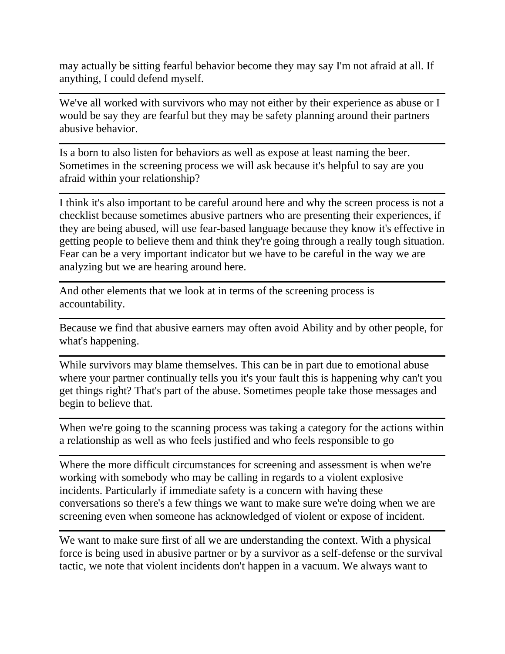may actually be sitting fearful behavior become they may say I'm not afraid at all. If anything, I could defend myself.

We've all worked with survivors who may not either by their experience as abuse or I would be say they are fearful but they may be safety planning around their partners abusive behavior.

Is a born to also listen for behaviors as well as expose at least naming the beer. Sometimes in the screening process we will ask because it's helpful to say are you afraid within your relationship?

I think it's also important to be careful around here and why the screen process is not a checklist because sometimes abusive partners who are presenting their experiences, if they are being abused, will use fear-based language because they know it's effective in getting people to believe them and think they're going through a really tough situation. Fear can be a very important indicator but we have to be careful in the way we are analyzing but we are hearing around here.

And other elements that we look at in terms of the screening process is accountability.

Because we find that abusive earners may often avoid Ability and by other people, for what's happening.

While survivors may blame themselves. This can be in part due to emotional abuse where your partner continually tells you it's your fault this is happening why can't you get things right? That's part of the abuse. Sometimes people take those messages and begin to believe that.

When we're going to the scanning process was taking a category for the actions within a relationship as well as who feels justified and who feels responsible to go

Where the more difficult circumstances for screening and assessment is when we're working with somebody who may be calling in regards to a violent explosive incidents. Particularly if immediate safety is a concern with having these conversations so there's a few things we want to make sure we're doing when we are screening even when someone has acknowledged of violent or expose of incident.

We want to make sure first of all we are understanding the context. With a physical force is being used in abusive partner or by a survivor as a self-defense or the survival tactic, we note that violent incidents don't happen in a vacuum. We always want to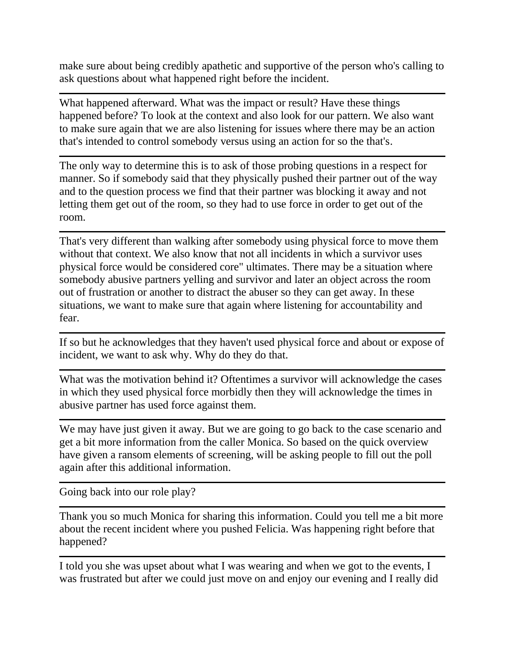make sure about being credibly apathetic and supportive of the person who's calling to ask questions about what happened right before the incident.

What happened afterward. What was the impact or result? Have these things happened before? To look at the context and also look for our pattern. We also want to make sure again that we are also listening for issues where there may be an action that's intended to control somebody versus using an action for so the that's.

The only way to determine this is to ask of those probing questions in a respect for manner. So if somebody said that they physically pushed their partner out of the way and to the question process we find that their partner was blocking it away and not letting them get out of the room, so they had to use force in order to get out of the room.

That's very different than walking after somebody using physical force to move them without that context. We also know that not all incidents in which a survivor uses physical force would be considered core" ultimates. There may be a situation where somebody abusive partners yelling and survivor and later an object across the room out of frustration or another to distract the abuser so they can get away. In these situations, we want to make sure that again where listening for accountability and fear.

If so but he acknowledges that they haven't used physical force and about or expose of incident, we want to ask why. Why do they do that.

What was the motivation behind it? Oftentimes a survivor will acknowledge the cases in which they used physical force morbidly then they will acknowledge the times in abusive partner has used force against them.

We may have just given it away. But we are going to go back to the case scenario and get a bit more information from the caller Monica. So based on the quick overview have given a ransom elements of screening, will be asking people to fill out the poll again after this additional information.

Going back into our role play?

Thank you so much Monica for sharing this information. Could you tell me a bit more about the recent incident where you pushed Felicia. Was happening right before that happened?

I told you she was upset about what I was wearing and when we got to the events, I was frustrated but after we could just move on and enjoy our evening and I really did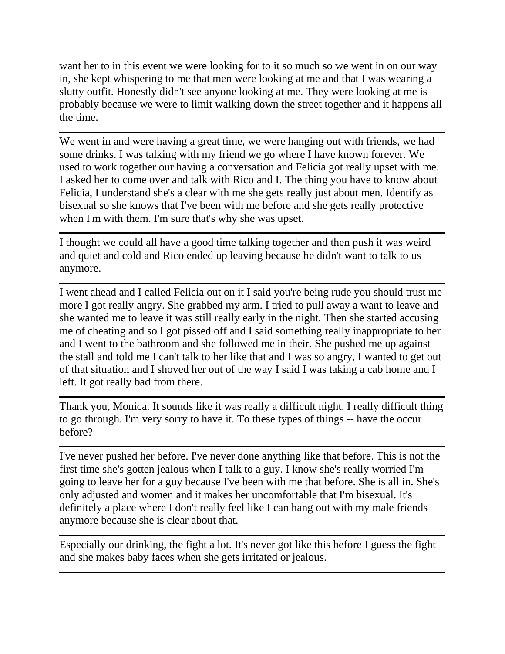want her to in this event we were looking for to it so much so we went in on our way in, she kept whispering to me that men were looking at me and that I was wearing a slutty outfit. Honestly didn't see anyone looking at me. They were looking at me is probably because we were to limit walking down the street together and it happens all the time.

We went in and were having a great time, we were hanging out with friends, we had some drinks. I was talking with my friend we go where I have known forever. We used to work together our having a conversation and Felicia got really upset with me. I asked her to come over and talk with Rico and I. The thing you have to know about Felicia, I understand she's a clear with me she gets really just about men. Identify as bisexual so she knows that I've been with me before and she gets really protective when I'm with them. I'm sure that's why she was upset.

I thought we could all have a good time talking together and then push it was weird and quiet and cold and Rico ended up leaving because he didn't want to talk to us anymore.

I went ahead and I called Felicia out on it I said you're being rude you should trust me more I got really angry. She grabbed my arm. I tried to pull away a want to leave and she wanted me to leave it was still really early in the night. Then she started accusing me of cheating and so I got pissed off and I said something really inappropriate to her and I went to the bathroom and she followed me in their. She pushed me up against the stall and told me I can't talk to her like that and I was so angry, I wanted to get out of that situation and I shoved her out of the way I said I was taking a cab home and I left. It got really bad from there.

Thank you, Monica. It sounds like it was really a difficult night. I really difficult thing to go through. I'm very sorry to have it. To these types of things -- have the occur before?

I've never pushed her before. I've never done anything like that before. This is not the first time she's gotten jealous when I talk to a guy. I know she's really worried I'm going to leave her for a guy because I've been with me that before. She is all in. She's only adjusted and women and it makes her uncomfortable that I'm bisexual. It's definitely a place where I don't really feel like I can hang out with my male friends anymore because she is clear about that.

Especially our drinking, the fight a lot. It's never got like this before I guess the fight and she makes baby faces when she gets irritated or jealous.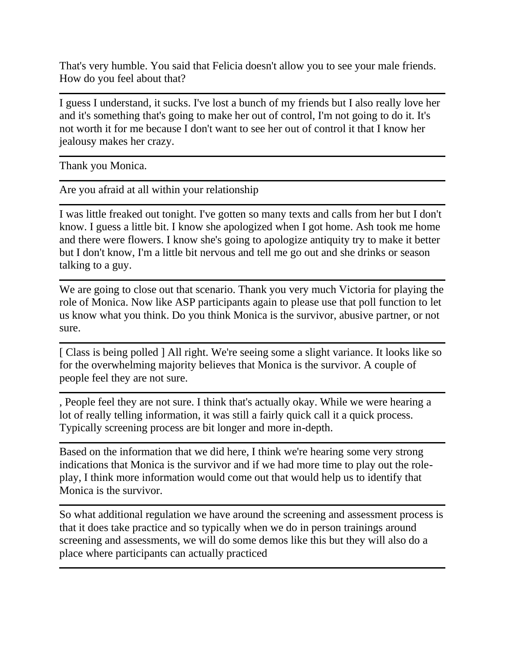That's very humble. You said that Felicia doesn't allow you to see your male friends. How do you feel about that?

I guess I understand, it sucks. I've lost a bunch of my friends but I also really love her and it's something that's going to make her out of control, I'm not going to do it. It's not worth it for me because I don't want to see her out of control it that I know her jealousy makes her crazy.

Thank you Monica.

Are you afraid at all within your relationship

I was little freaked out tonight. I've gotten so many texts and calls from her but I don't know. I guess a little bit. I know she apologized when I got home. Ash took me home and there were flowers. I know she's going to apologize antiquity try to make it better but I don't know, I'm a little bit nervous and tell me go out and she drinks or season talking to a guy.

We are going to close out that scenario. Thank you very much Victoria for playing the role of Monica. Now like ASP participants again to please use that poll function to let us know what you think. Do you think Monica is the survivor, abusive partner, or not sure.

[ Class is being polled ] All right. We're seeing some a slight variance. It looks like so for the overwhelming majority believes that Monica is the survivor. A couple of people feel they are not sure.

, People feel they are not sure. I think that's actually okay. While we were hearing a lot of really telling information, it was still a fairly quick call it a quick process. Typically screening process are bit longer and more in-depth.

Based on the information that we did here, I think we're hearing some very strong indications that Monica is the survivor and if we had more time to play out the roleplay, I think more information would come out that would help us to identify that Monica is the survivor.

So what additional regulation we have around the screening and assessment process is that it does take practice and so typically when we do in person trainings around screening and assessments, we will do some demos like this but they will also do a place where participants can actually practiced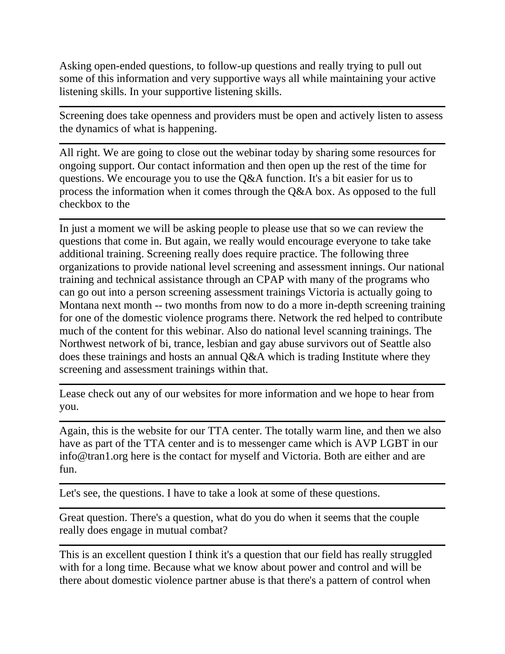Asking open-ended questions, to follow-up questions and really trying to pull out some of this information and very supportive ways all while maintaining your active listening skills. In your supportive listening skills.

Screening does take openness and providers must be open and actively listen to assess the dynamics of what is happening.

All right. We are going to close out the webinar today by sharing some resources for ongoing support. Our contact information and then open up the rest of the time for questions. We encourage you to use the Q&A function. It's a bit easier for us to process the information when it comes through the Q&A box. As opposed to the full checkbox to the

In just a moment we will be asking people to please use that so we can review the questions that come in. But again, we really would encourage everyone to take take additional training. Screening really does require practice. The following three organizations to provide national level screening and assessment innings. Our national training and technical assistance through an CPAP with many of the programs who can go out into a person screening assessment trainings Victoria is actually going to Montana next month -- two months from now to do a more in-depth screening training for one of the domestic violence programs there. Network the red helped to contribute much of the content for this webinar. Also do national level scanning trainings. The Northwest network of bi, trance, lesbian and gay abuse survivors out of Seattle also does these trainings and hosts an annual Q&A which is trading Institute where they screening and assessment trainings within that.

Lease check out any of our websites for more information and we hope to hear from you.

Again, this is the website for our TTA center. The totally warm line, and then we also have as part of the TTA center and is to messenger came which is AVP LGBT in our info@tran1.org here is the contact for myself and Victoria. Both are either and are fun.

Let's see, the questions. I have to take a look at some of these questions.

Great question. There's a question, what do you do when it seems that the couple really does engage in mutual combat?

This is an excellent question I think it's a question that our field has really struggled with for a long time. Because what we know about power and control and will be there about domestic violence partner abuse is that there's a pattern of control when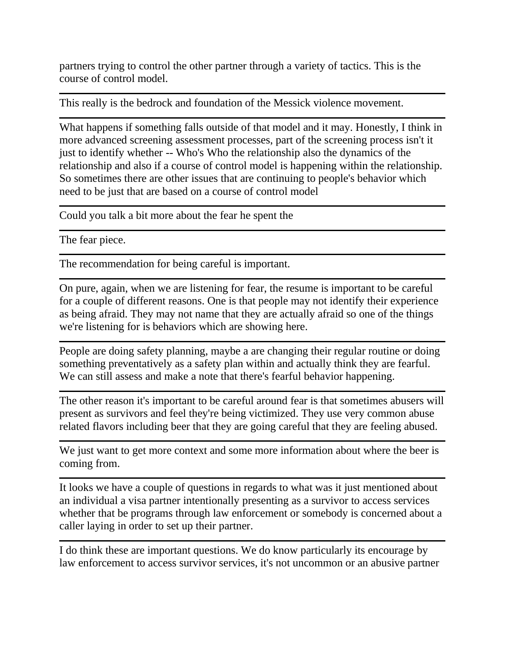partners trying to control the other partner through a variety of tactics. This is the course of control model.

This really is the bedrock and foundation of the Messick violence movement.

What happens if something falls outside of that model and it may. Honestly, I think in more advanced screening assessment processes, part of the screening process isn't it just to identify whether -- Who's Who the relationship also the dynamics of the relationship and also if a course of control model is happening within the relationship. So sometimes there are other issues that are continuing to people's behavior which need to be just that are based on a course of control model

Could you talk a bit more about the fear he spent the

The fear piece.

The recommendation for being careful is important.

On pure, again, when we are listening for fear, the resume is important to be careful for a couple of different reasons. One is that people may not identify their experience as being afraid. They may not name that they are actually afraid so one of the things we're listening for is behaviors which are showing here.

People are doing safety planning, maybe a are changing their regular routine or doing something preventatively as a safety plan within and actually think they are fearful. We can still assess and make a note that there's fearful behavior happening.

The other reason it's important to be careful around fear is that sometimes abusers will present as survivors and feel they're being victimized. They use very common abuse related flavors including beer that they are going careful that they are feeling abused.

We just want to get more context and some more information about where the beer is coming from.

It looks we have a couple of questions in regards to what was it just mentioned about an individual a visa partner intentionally presenting as a survivor to access services whether that be programs through law enforcement or somebody is concerned about a caller laying in order to set up their partner.

I do think these are important questions. We do know particularly its encourage by law enforcement to access survivor services, it's not uncommon or an abusive partner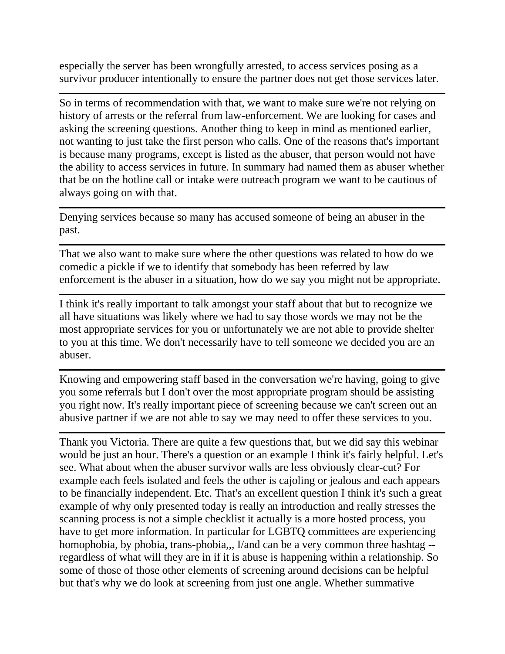especially the server has been wrongfully arrested, to access services posing as a survivor producer intentionally to ensure the partner does not get those services later.

So in terms of recommendation with that, we want to make sure we're not relying on history of arrests or the referral from law-enforcement. We are looking for cases and asking the screening questions. Another thing to keep in mind as mentioned earlier, not wanting to just take the first person who calls. One of the reasons that's important is because many programs, except is listed as the abuser, that person would not have the ability to access services in future. In summary had named them as abuser whether that be on the hotline call or intake were outreach program we want to be cautious of always going on with that.

Denying services because so many has accused someone of being an abuser in the past.

That we also want to make sure where the other questions was related to how do we comedic a pickle if we to identify that somebody has been referred by law enforcement is the abuser in a situation, how do we say you might not be appropriate.

I think it's really important to talk amongst your staff about that but to recognize we all have situations was likely where we had to say those words we may not be the most appropriate services for you or unfortunately we are not able to provide shelter to you at this time. We don't necessarily have to tell someone we decided you are an abuser.

Knowing and empowering staff based in the conversation we're having, going to give you some referrals but I don't over the most appropriate program should be assisting you right now. It's really important piece of screening because we can't screen out an abusive partner if we are not able to say we may need to offer these services to you.

Thank you Victoria. There are quite a few questions that, but we did say this webinar would be just an hour. There's a question or an example I think it's fairly helpful. Let's see. What about when the abuser survivor walls are less obviously clear-cut? For example each feels isolated and feels the other is cajoling or jealous and each appears to be financially independent. Etc. That's an excellent question I think it's such a great example of why only presented today is really an introduction and really stresses the scanning process is not a simple checklist it actually is a more hosted process, you have to get more information. In particular for LGBTQ committees are experiencing homophobia, by phobia, trans-phobia,,, I/and can be a very common three hashtag - regardless of what will they are in if it is abuse is happening within a relationship. So some of those of those other elements of screening around decisions can be helpful but that's why we do look at screening from just one angle. Whether summative